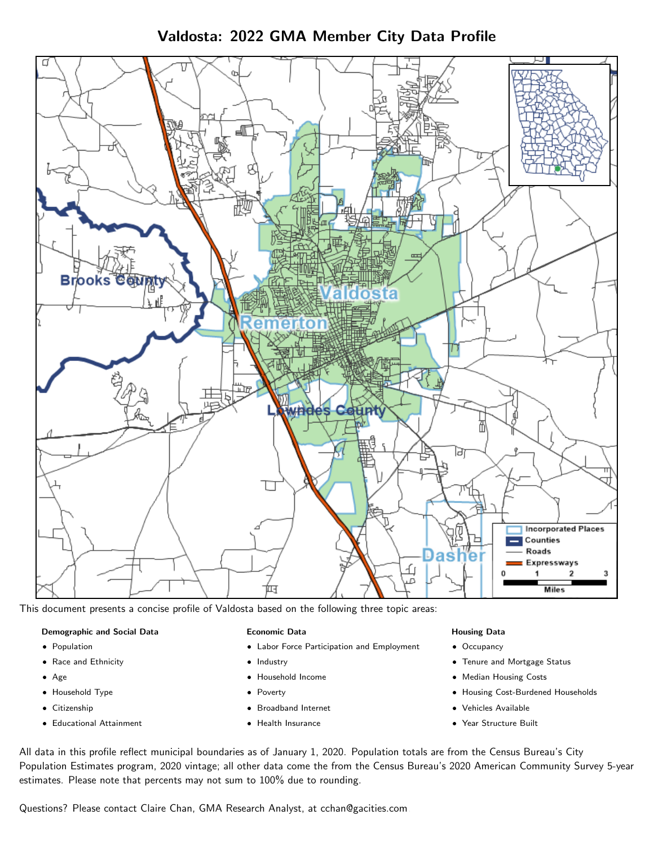Valdosta: 2022 GMA Member City Data Profile



This document presents a concise profile of Valdosta based on the following three topic areas:

#### Demographic and Social Data

- **•** Population
- Race and Ethnicity
- Age
- Household Type
- **Citizenship**
- Educational Attainment

#### Economic Data

- Labor Force Participation and Employment
- Industry
- Household Income
- Poverty
- Broadband Internet
- Health Insurance

#### Housing Data

- Occupancy
- Tenure and Mortgage Status
- Median Housing Costs
- Housing Cost-Burdened Households
- Vehicles Available
- Year Structure Built

All data in this profile reflect municipal boundaries as of January 1, 2020. Population totals are from the Census Bureau's City Population Estimates program, 2020 vintage; all other data come the from the Census Bureau's 2020 American Community Survey 5-year estimates. Please note that percents may not sum to 100% due to rounding.

Questions? Please contact Claire Chan, GMA Research Analyst, at [cchan@gacities.com.](mailto:cchan@gacities.com)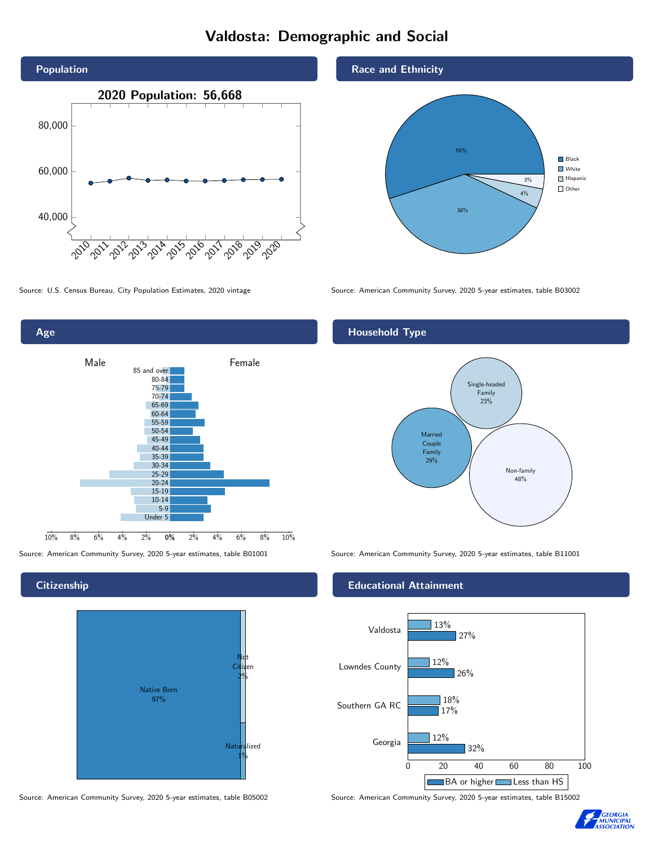# Valdosta: Demographic and Social





#### **Citizenship**



Source: American Community Survey, 2020 5-year estimates, table B05002 Source: American Community Survey, 2020 5-year estimates, table B15002





Source: U.S. Census Bureau, City Population Estimates, 2020 vintage Source: American Community Survey, 2020 5-year estimates, table B03002

## Household Type



Source: American Community Survey, 2020 5-year estimates, table B01001 Source: American Community Survey, 2020 5-year estimates, table B11001

#### Educational Attainment



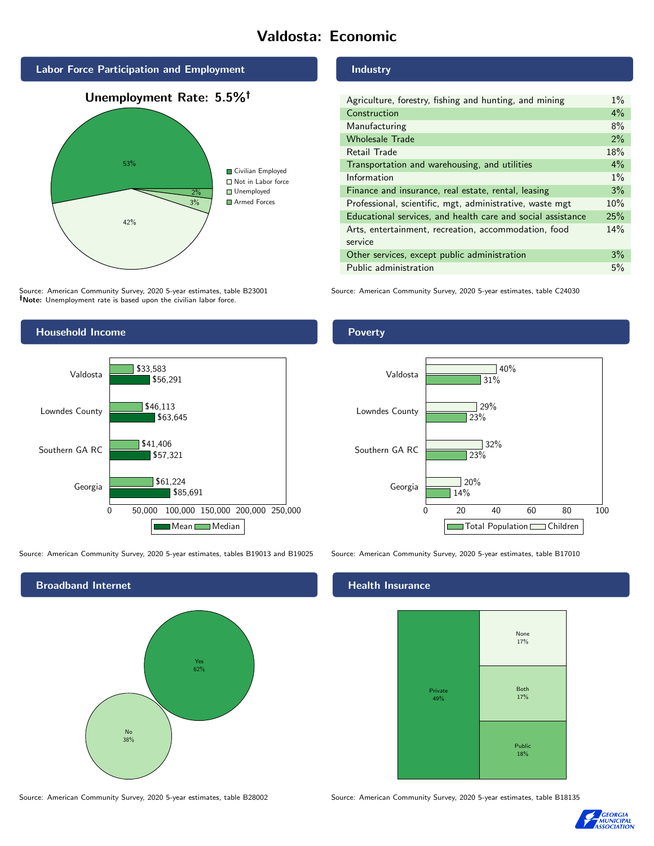# Valdosta: Economic



Source: American Community Survey, 2020 5-year estimates, table B23001 Note: Unemployment rate is based upon the civilian labor force.

#### Industry

| Agriculture, forestry, fishing and hunting, and mining      | $1\%$ |
|-------------------------------------------------------------|-------|
| Construction                                                | $4\%$ |
| Manufacturing                                               | 8%    |
| <b>Wholesale Trade</b>                                      | 2%    |
| Retail Trade                                                | 18%   |
| Transportation and warehousing, and utilities               | 4%    |
| Information                                                 | $1\%$ |
| Finance and insurance, real estate, rental, leasing         | 3%    |
| Professional, scientific, mgt, administrative, waste mgt    | 10%   |
| Educational services, and health care and social assistance | 25%   |
| Arts, entertainment, recreation, accommodation, food        | 14%   |
| service                                                     |       |
| Other services, except public administration                | 3%    |
| Public administration                                       | 5%    |

Source: American Community Survey, 2020 5-year estimates, table C24030



Source: American Community Survey, 2020 5-year estimates, tables B19013 and B19025 Source: American Community Survey, 2020 5-year estimates, table B17010



#### Poverty



#### Health Insurance



Source: American Community Survey, 2020 5-year estimates, table B28002 Source: American Community Survey, 2020 5-year estimates, table B18135